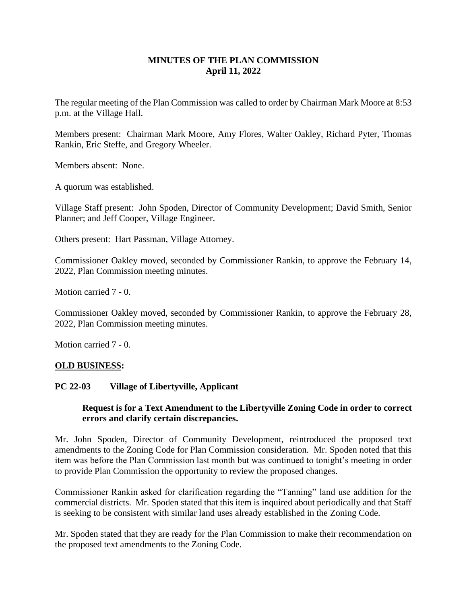# **MINUTES OF THE PLAN COMMISSION April 11, 2022**

The regular meeting of the Plan Commission was called to order by Chairman Mark Moore at 8:53 p.m. at the Village Hall.

Members present: Chairman Mark Moore, Amy Flores, Walter Oakley, Richard Pyter, Thomas Rankin, Eric Steffe, and Gregory Wheeler.

Members absent: None.

A quorum was established.

Village Staff present: John Spoden, Director of Community Development; David Smith, Senior Planner; and Jeff Cooper, Village Engineer.

Others present: Hart Passman, Village Attorney.

Commissioner Oakley moved, seconded by Commissioner Rankin, to approve the February 14, 2022, Plan Commission meeting minutes.

Motion carried 7 - 0.

Commissioner Oakley moved, seconded by Commissioner Rankin, to approve the February 28, 2022, Plan Commission meeting minutes.

Motion carried 7 - 0.

### **OLD BUSINESS:**

#### **PC 22-03 Village of Libertyville, Applicant**

## **Request is for a Text Amendment to the Libertyville Zoning Code in order to correct errors and clarify certain discrepancies.**

Mr. John Spoden, Director of Community Development, reintroduced the proposed text amendments to the Zoning Code for Plan Commission consideration. Mr. Spoden noted that this item was before the Plan Commission last month but was continued to tonight's meeting in order to provide Plan Commission the opportunity to review the proposed changes.

Commissioner Rankin asked for clarification regarding the "Tanning" land use addition for the commercial districts. Mr. Spoden stated that this item is inquired about periodically and that Staff is seeking to be consistent with similar land uses already established in the Zoning Code.

Mr. Spoden stated that they are ready for the Plan Commission to make their recommendation on the proposed text amendments to the Zoning Code.